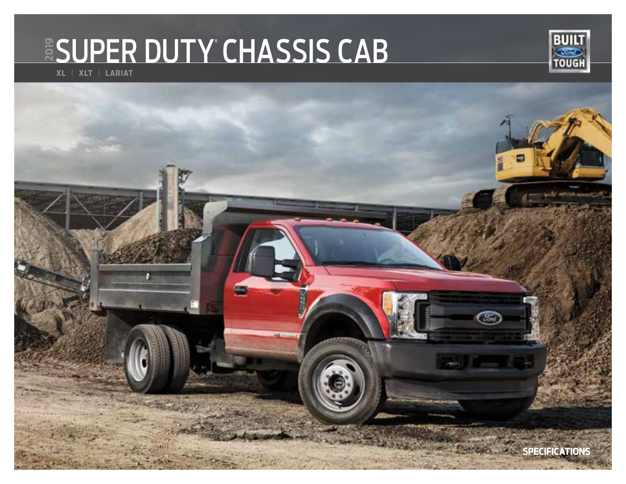# **ESUPER DUTY CHASSIS CAB**



**XL** | **XLT** | **LARIAT**

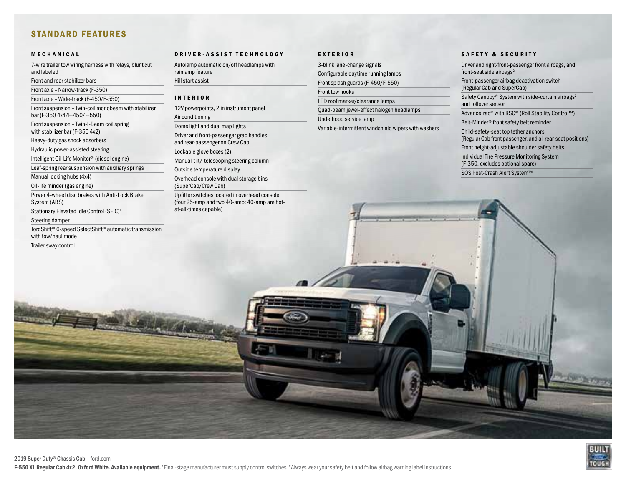#### STANDARD FEATURES

#### MECHANICAL

7-wire trailer tow wiring harness with relays, blunt cut and labeled

Front and rear stabilizer bars

Front axle – Narrow-track (F-350)

Front axle – Wide-track (F-450/F-550)

Front suspension – Twin-coil monobeam with stabilizer bar (F-350 4x4/F-450/F-550)

Front suspension – Twin-I-Beam coil spring with stabilizer bar (F-350 4x2)

Heavy-duty gas shock absorbers

Hydraulic power-assisted steering

Intelligent Oil-Life Monitor® (diesel engine)

Leaf-spring rear suspension with auxiliary springs

Manual locking hubs (4x4)

Oil-life minder (gas engine)

Power 4-wheel disc brakes with Anti-Lock Brake System (ABS)

Stationary Elevated Idle Control (SEIC)<sup>1</sup>

Steering damper

Trailer sway control

TorqShift® 6-speed SelectShift® automatic transmission with tow/haul mode

DRIVER-ASSIST TECHNOLOGY

Autolamp automatic on/off headlamps with rainlamp feature Hill start assist

#### INTERIOR

12V powerpoints, 2 in instrument panel Air conditioning Dome light and dual map lights Driver and front-passenger grab handles, and rear-passenger on Crew Cab Lockable glove boxes (2) Manual-tilt/-telescoping steering column Outside temperature display Overhead console with dual storage bins (SuperCab/Crew Cab) Upfitter switches located in overhead console (four 25-amp and two 40-amp; 40-amp are hotat-all-times capable)

#### EXTERIOR

3-blink lane-change signals Configurable daytime running lamps Front splash guards (F-450/F-550) Front tow hooks LED roof marker/clearance lamps Quad-beam jewel-effect halogen headlamps Underhood service lamp Variable-intermittent windshield wipers with washers

#### SAFETY & SECURITY

Driver and right-front-passenger front airbags, and front-seat side airbags<sup>2</sup> Front-passenger airbag deactivation switch (Regular Cab and SuperCab) Safety Canopy® System with side-curtain airbags<sup>2</sup> and rollover sensor AdvanceTrac® with RSC® (Roll Stability Control™) Belt-Minder® front safety belt reminder Child-safety-seat top tether anchors (Regular Cab front passenger, and all rear-seat positions) Front height-adjustable shoulder safety belts Individual Tire Pressure Monitoring System (F-350, excludes optional spare) SOS Post-Crash Alert System™

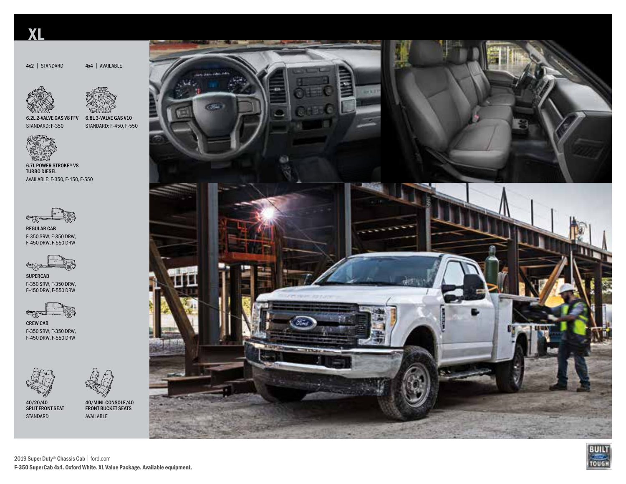## XL

4x2 | STANDARD

4x4 | AVAILABLE





6.2L 2-VALVE GAS V8 FFV STANDARD: F-350

6.8L 3-VALVE GAS V10 STANDARD: F-450, F-550



6.7L POWER STROKE® V8 TURBO DIESEL AVAILABLE: F-350, F-450, F-550



REGULAR CAB F-350 SRW, F-350 DRW, F-450 DRW, F-550 DRW



SUPERCAB F-350 SRW, F-350 DRW, F-450 DRW, F-550 DRW



CREW CAB F-350 SRW, F-350 DRW, F-450 DRW, F-550 DRW



40/20/40 SPLIT FRONT SEAT STANDARD







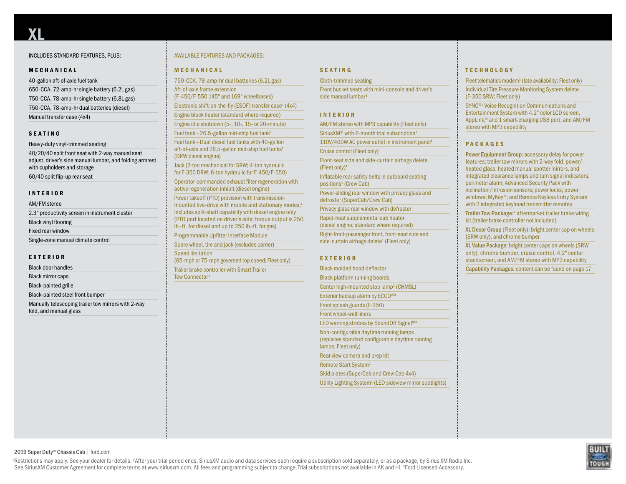#### INCLUDES STANDARD FEATURES, PLUS:

#### MECHANICAL

| 40-gallon aft-of-axle fuel tank              |
|----------------------------------------------|
| 650-CCA, 72-amp-hr single battery (6.2L gas) |
| 750-CCA, 78-amp-hr single battery (6.8L gas) |
| 750-CCA, 78-amp-hr dual batteries (diesel)   |
| Manual transfer case (4x4)                   |

#### SEATING

Heavy-duty vinyl-trimmed seating 40/20/40 split front seat with 2-way manual seat adjust, driver's side manual lumbar, and folding armrest with cupholders and storage 60/40 split flip-up rear seat

#### INTERIOR

| AM/FM stereo                                   |
|------------------------------------------------|
| 2.3" productivity screen in instrument cluster |
| <b>Black vinyl flooring</b>                    |
| Fixed rear window                              |
| Single-zone manual climate control             |
|                                                |

#### EXTERIOR

Black door handles

Black mirror caps

Black-painted grille

Black-painted steel front bumper

Manually telescoping trailer tow mirrors with 2-way fold, and manual glass

#### AVAILABLE FEATURES AND PACKAGES:

#### MECHANICAL

750-CCA, 78-amp-hr dual batteries (6.2L gas) Aft-of-axle frame extension (F-450/F-550 145" and 169" wheelbases) Electronic shift-on-the-fly (ESOF) transfer case<sup>1</sup> (4x4) Engine block heater (standard where required) Engine idle shutdown (5-, 10-, 15- or 20-minute) Fuel tank –  $26.5$ -gallon mid-ship fuel tank<sup>1</sup> Fuel tank – Dual diesel fuel tanks with 40-gallon aft-of-axle and 26.5-gallon mid-ship fuel tanks<sup>1</sup> (DRW diesel engine) Jack (2-ton mechanical for SRW; 4-ton hydraulic for F-350 DRW; 6-ton hydraulic for F-450/F-550) Operator-commanded exhaust filter regeneration with active regeneration inhibit (diesel engine) Power takeoff (PTO) provision with transmissionmounted live-drive with mobile and stationary modes;<sup>1</sup> includes split-shaft capability with diesel engine only (PTO port located on driver's side; torque output is 250 lb.-ft. for diesel and up to 250 lb.-ft. for gas) Programmable Upfitter Interface Module Spare wheel, tire and jack (excludes carrier) Speed limitation (65-mph or 75-mph governed top speed; Fleet only) Trailer brake controller with Smart Trailer Tow Connector<sup>1</sup>

#### SEATING

#### Cloth-trimmed seating

Front bucket seats with mini-console and driver's side manual lumbar<sup>1</sup>

#### INTERIOR

AM/FM stereo with MP3 capability (Fleet only)

SiriusXM® with 6-month trial subscription<sup>2</sup> 110V/400W AC power outlet in instrument panel<sup>1</sup>

Cruise control (Fleet only)

Front-seat side and side-curtain airbags delete (Fleet only)<sup>1</sup>

Inflatable rear safety belts in outboard seating positions<sup>1</sup> (Crew Cab)

Power-sliding rear window with privacy glass and defroster (SuperCab/Crew Cab)

Privacy glass rear window with defroster

Rapid-heat supplemental cab heater

(diesel engine; standard where required)

Right-front-passenger front, front-seat side and side-curtain airbags delete<sup>1</sup> (Fleet only)

#### EXTERIOR

Black molded hood deflector Black platform running boards Center high-mounted stop lamp<sup>1</sup> (CHMSL) Exterior backup alarm by ECCO®<sup>3</sup> Front splash guards (F-350) Front wheel-well liners LED warning strobes by SoundOff Signal<sup>®3</sup> Non-configurable daytime running lamps (replaces standard configurable daytime running lamps; Fleet only) Rear view camera and prep kit Remote Start System<sup>1</sup> Skid plates (SuperCab and Crew Cab 4x4) Utility Lighting System<sup>1</sup> (LED sideview mirror spotlights)

#### **TECHNOLOGY**

Fleet telematics modem<sup>1</sup> (late availability; Fleet only) Individual Tire Pressure Monitoring System delete (F-350 SRW; Fleet only)

SYNC®<sup>1</sup> Voice Recognition Communications and Entertainment System with 4.2" color LCD screen, AppLink,® and 1 smart-charging USB port; and AM/FM stereo with MP3 capability

#### PACKAGES

Power Equipment Group: accessory delay for power features; trailer tow mirrors with 2-way fold, power/ heated glass, heated manual spotter mirrors, and integrated clearance lamps and turn signal indicators; perimeter alarm; Advanced Security Pack with inclination/intrusion sensors; power locks; power windows; MyKey®; and Remote Keyless Entry System with 2 integrated keyhead transmitter remotes

Trailer Tow Package:<sup>1</sup> aftermarket trailer brake wiring kit (trailer brake controller not included)

XL Decor Group (Fleet only): bright center cap on wheels (SRW only), and chrome bumper

XL Value Package: bright center caps on wheels (SRW only), chrome bumper, cruise control, 4.2" center stack screen, and AM/FM stereo with MP3 capability Capability Packages: content can be found on page 17

2019 Super Duty® Chassis Cab | ford.com

<sup>1</sup>Restrictions may apply. See your dealer for details. <sup>2</sup>After your trial period ends, SiriusXM audio and data services each require a subscription sold separately, or as a package, by Sirius XM Radio Inc. See SiriusXM Customer Agreement for complete terms at www.siriusxm.com. All fees and programming subject to change. Trial subscriptions not available in AK and HI. <sup>3</sup>Ford Licensed Accessory.

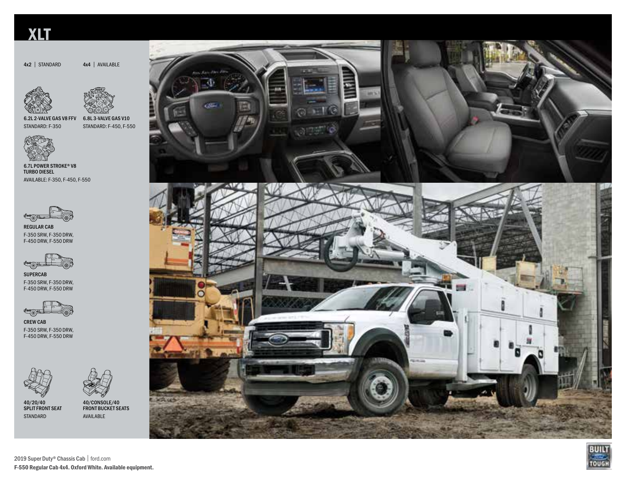### XLT

4x2 | STANDARD





4x4 | AVAILABLE

6.8L 3-VALVE GAS V10 STANDARD: F-450, F-550 6.2L 2-VALVE GAS V8 FFV STANDARD: F-350



6.7L POWER STROKE® V8 TURBO DIESEL AVAILABLE: F-350, F-450, F-550



REGULAR CAB F-350 SRW, F-350 DRW, F-450 DRW, F-550 DRW



SUPERCAB F-350 SRW, F-350 DRW, F-450 DRW, F-550 DRW



CREW CAB F-350 SRW, F-350 DRW, F-450 DRW, F-550 DRW



40/20/40 SPLIT FRONT SEAT STANDARD



40/CONSOLE/40 FRONT BUCKET SEATS AVAILABLE







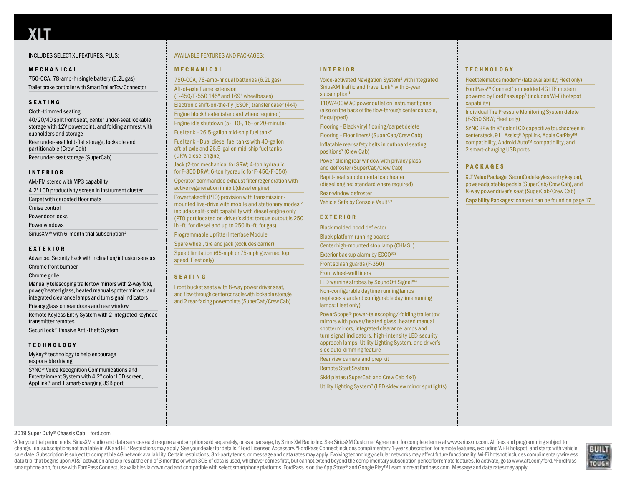#### INCLUDES SELECT XL FEATURES, PLUS:

#### MECHANICAL

750-CCA, 78-amp-hr single battery (6.2L gas) Trailer brake controller with Smart Trailer Tow Connector

#### SEATING

Cloth-trimmed seating 40/20/40 split front seat, center under-seat lockable storage with 12V powerpoint, and folding armrest with cupholders and storage Rear under-seat fold-flat storage, lockable and partitionable (Crew Cab) Rear under-seat storage (SuperCab)

#### INTERIOR

| AM/FM stereo with MP3 capability                                   |
|--------------------------------------------------------------------|
| 4.2" LCD productivity screen in instrument cluster                 |
| Carpet with carpeted floor mats                                    |
| Cruise control                                                     |
| Power door locks                                                   |
| Power windows                                                      |
| SiriusXM <sup>®</sup> with 6-month trial subscription <sup>1</sup> |
|                                                                    |

#### EXTERIOR

Advanced Security Pack with inclination/intrusion sensors

Chrome front bumper

Chrome grille

Manually telescoping trailer tow mirrors with 2-way fold, power/heated glass, heated manual spotter mirrors, and integrated clearance lamps and turn signal indicators

Privacy glass on rear doors and rear window

Remote Keyless Entry System with 2 integrated keyhead transmitter remotes

SecuriLock® Passive Anti-Theft System

#### **TECHNOLOGY**

MyKey® technology to help encourage responsible driving

SYNC® Voice Recognition Communications and Entertainment System with 4.2" color LCD screen, AppLink,® and 1 smart-charging USB port

#### AVAILABLE FEATURES AND PACKAGES:

#### MECHANICAL

750-CCA, 78-amp-hr dual batteries (6.2L gas)

Aft-of-axle frame extension (F-450/F-550 145" and 169" wheelbases)

Electronic shift-on-the-fly (ESOF) transfer case<sup>2</sup> (4x4)

Engine block heater (standard where required)

Engine idle shutdown (5-, 10-, 15- or 20-minute)

Fuel tank – 26.5-gallon mid-ship fuel tank<sup>2</sup>

Fuel tank – Dual diesel fuel tanks with 40-gallon aft-of-axle and 26.5-gallon mid-ship fuel tanks (DRW diesel engine)

Jack (2-ton mechanical for SRW; 4-ton hydraulic for F-350 DRW; 6-ton hydraulic for F-450/F-550)

Operator-commanded exhaust filter regeneration with active regeneration inhibit (diesel engine)

Power takeoff (PTO) provision with transmissionmounted live-drive with mobile and stationary modes;<sup>2</sup> includes split-shaft capability with diesel engine only (PTO port located on driver's side; torque output is 250 lb.-ft. for diesel and up to 250 lb.-ft. for gas)

Programmable Upfitter Interface Module

Spare wheel, tire and jack (excludes carrier)

Speed limitation (65-mph or 75-mph governed top speed; Fleet only)

#### SEATING

Front bucket seats with 8-way power driver seat, and flow-through center console with lockable storage and 2 rear-facing powerpoints (SuperCab/Crew Cab)

#### INTERIOR

Voice-activated Navigation System<sup>2</sup> with integrated SiriusXM Traffic and Travel Link® with 5-year subscription<sup>1</sup>

110V/400W AC power outlet on instrument panel (also on the back of the flow-through center console, if equipped)

Flooring – Black vinyl flooring/carpet delete

Flooring - Floor liners<sup>2</sup> (SuperCab/Crew Cab) Inflatable rear safety belts in outboard seating positions<sup>2</sup> (Crew Cab)

Power-sliding rear window with privacy glass and defroster (SuperCab/Crew Cab)

Rapid-heat supplemental cab heater

(diesel engine; standard where required)

Rear-window defroster

Vehicle Safe by Console Vault<sup>2,3</sup>

#### EXTERIOR

Black molded hood deflector Black platform running boards

Center high-mounted stop lamp (CHMSL)

Exterior backup alarm by ECCO®<sup>3</sup>

Front splash guards (F-350)

Front wheel-well liners

LED warning strobes by SoundOff Signal<sup>®3</sup>

Non-configurable daytime running lamps (replaces standard configurable daytime running lamps; Fleet only)

PowerScope® power-telescoping/-folding trailer tow mirrors with power/heated glass, heated manual spotter mirrors, integrated clearance lamps and turn signal indicators, high-intensity LED security approach lamps, Utility Lighting System, and driver's side auto-dimming feature

Rear view camera and prep kit

Remote Start System

Skid plates (SuperCab and Crew Cab 4x4)

Utility Lighting System<sup>2</sup> (LED sideview mirror spotlights)

#### **TECHNOLOGY**

Fleet telematics modem<sup>2</sup> (late availability; Fleet only)

FordPass™ Connect<sup>4</sup> embedded 4G LTE modem powered by FordPass app<sup>5</sup> (includes Wi-Fi hotspot capability)

Individual Tire Pressure Monitoring System delete (F-350 SRW; Fleet only)

SYNC 3<sup>2</sup> with 8" color LCD capacitive touchscreen in center stack, 911 Assist,® AppLink, Apple CarPlay™ compatibility, Android Auto™ compatibility, and 2 smart-charging USB ports

#### PACKAGES

XLT Value Package: SecuriCode keyless entry keypad, power-adjustable pedals (SuperCab/Crew Cab), and 8-way power driver's seat (SuperCab/Crew Cab)

Capability Packages: content can be found on page 17

#### 2019 Super Duty® Chassis Cab | ford.com

<sup>1</sup>After your trial period ends, SiriusXM audio and data services each require a subscription sold separately, or as a package, by Sirius XM Radio Inc. See SiriusXM Customer Agreement for complete terms at www.siriusxm.com change. Trial subscriptions not available in AK and HI. <sup>2</sup>Restrictions may apply. See your dealer for details. <sup>3</sup>Ford Licensed Accessory. 4FordPass Connect includes complimentary 1-vear subscription for remote features, sale date. Subscription is subject to compatible 4G network availability. Certain restrictions, 3rd-party terms, or message and data rates may apply. Evolving technology/cellular networks may affect future functionality. W data trial that begins upon AT&T activation and expires at the end of 3 months or when 3GB of data is used, whichever comes first, but cannot extend beyond the complimentary subscription period for remote features. To acti smartphone app. for use with FordPass Connect, is available via download and compatible with select smartphone platforms. FordPass is on the App Store® and Google Play™ Learn more at fordpass, com. Message and data rates

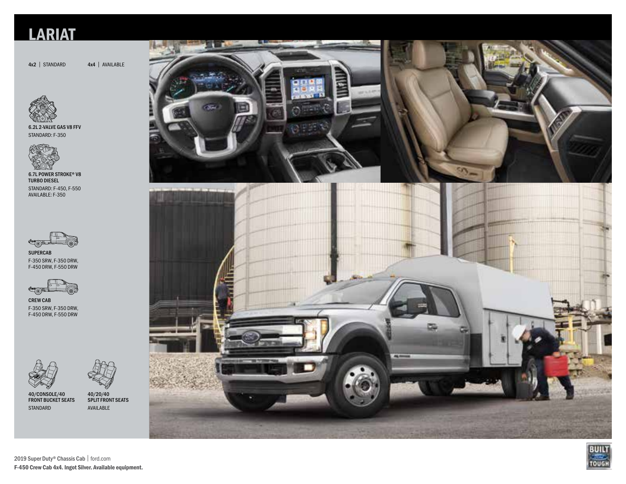## **LARIAT**

4x2 | STANDARD 4x4 | AVAILABLE

6.2L 2-VALVE GAS V8 FFV STANDARD: F-350



6.7L POWER STROKE® V8 TURBO DIESEL STANDARD: F-450, F-550 AVAILABLE: F-350



SUPERCAB F-350 SRW, F-350 DRW, F-450 DRW, F-550 DRW



CREW CAB F-350 SRW, F-350 DRW, F-450 DRW, F-550 DRW





40/CONSOLE/40 FRONT BUCKET SEATS STANDARD

40/20/40 SPLIT FRONT SEATS AVAILABLE







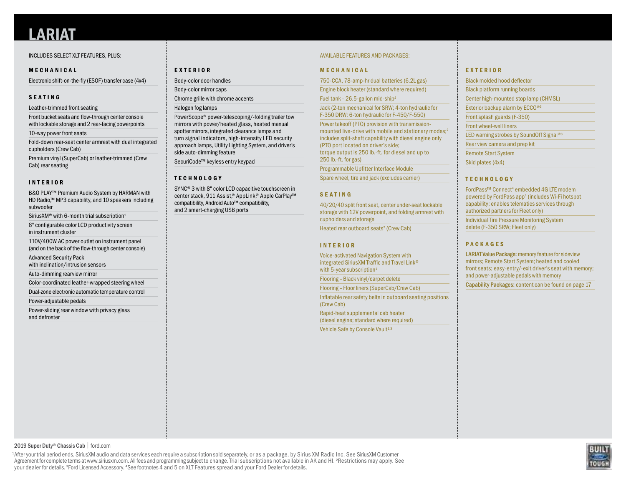#### INCLUDES SELECT XLT FEATURES, PLUS:

#### MECHANICAL

Electronic shift-on-the-fly (ESOF) transfer case (4x4)

#### SEATING

Leather-trimmed front seating

Front bucket seats and flow-through center console with lockable storage and 2 rear-facing powerpoints

10-way power front seats

Fold-down rear-seat center armrest with dual integrated cupholders (Crew Cab)

Premium vinyl (SuperCab) or leather-trimmed (Crew Cab) rear seating

#### INTERIOR

B&O PLAY™ Premium Audio System by HARMAN with HD Radio,™ MP3 capability, and 10 speakers including subwoofer

SiriusXM® with 6-month trial subscription<sup>1</sup>

8" configurable color LCD productivity screen in instrument cluster

110V/400W AC power outlet on instrument panel (and on the back of the flow-through center console)

Advanced Security Pack

with inclination/intrusion sensors

Auto-dimming rearview mirror

Color-coordinated leather-wrapped steering wheel

Dual-zone electronic automatic temperature control

Power-adjustable pedals

Power-sliding rear window with privacy glass and defroster

#### EXTERIOR

Body-color door handles

Body-color mirror caps Chrome grille with chrome accents

Halogen fog lamps

PowerScope® power-telescoping/-folding trailer tow mirrors with power/heated glass, heated manual spotter mirrors, integrated clearance lamps and turn signal indicators, high-intensity LED security approach lamps, Utility Lighting System, and driver's side auto-dimming feature

SecuriCode™ keyless entry keypad

#### **TECHNOLOGY**

SYNC® 3 with 8" color LCD capacitive touchscreen in center stack, 911 Assist,® AppLink,® Apple CarPlay™ compatibility, Android Auto™ compatibility, and 2 smart-charging USB ports

#### AVAILABLE FEATURES AND PACKAGES:

#### MECHANICAL

750-CCA, 78-amp-hr dual batteries (6.2L gas)

Engine block heater (standard where required)

Fuel tank – 26.5-gallon mid-ship<sup>2</sup>

Jack (2-ton mechanical for SRW; 4-ton hydraulic for F-350 DRW; 6-ton hydraulic for F-450/F-550)

Power takeoff (PTO) provision with transmissionmounted live-drive with mobile and stationary modes;<sup>2</sup> includes split-shaft capability with diesel engine only (PTO port located on driver's side; torque output is 250 lb.-ft. for diesel and up to 250 lb.-ft. for gas)

Programmable Upfitter Interface Module

Spare wheel, tire and jack (excludes carrier)

#### SEATING

40/20/40 split front seat, center under-seat lockable storage with 12V powerpoint, and folding armrest with cupholders and storage

Heated rear outboard seats<sup>2</sup> (Crew Cab)

#### INTERIOR

Voice-activated Navigation System with integrated SiriusXM Traffic and Travel Link® with 5-year subscription<sup>1</sup>

Flooring – Black vinyl/carpet delete

Flooring – Floor liners (SuperCab/Crew Cab)

Inflatable rear safety belts in outboard seating positions (Crew Cab)

Rapid-heat supplemental cab heater (diesel engine; standard where required)

Vehicle Safe by Console Vault<sup>2,3</sup>

#### EXTERIOR

| <b>Black molded hood deflector</b>                   |
|------------------------------------------------------|
| <b>Black platform running boards</b>                 |
| Center high-mounted stop lamp (CHMSL)                |
| Exterior backup alarm by ECCO <sup>®3</sup>          |
| Front splash guards (F-350)                          |
| <b>Front wheel-well liners</b>                       |
| LED warning strobes by SoundOff Signal <sup>®3</sup> |
| Rear view camera and prep kit                        |
| <b>Remote Start System</b>                           |
| Skid plates (4x4)                                    |

#### **TECHNOLOGY**

FordPass™ Connect<sup>4</sup> embedded 4G LTE modem powered by FordPass app<sup>4</sup> (includes Wi-Fi hotspot capability; enables telematics services through authorized partners for Fleet only)

Individual Tire Pressure Monitoring System delete (F-350 SRW; Fleet only)

#### PACKAGES

LARIAT Value Package: memory feature for sideview mirrors; Remote Start System; heated and cooled front seats; easy-entry/-exit driver's seat with memory; and power-adjustable pedals with memory

Capability Packages: content can be found on page 17

2019 Super Duty® Chassis Cab | ford.com

 1 After your trial period ends, SiriusXM audio and data services each require a subscription sold separately, or as a package, by Sirius XM Radio Inc. See SiriusXM Customer Agreement for complete terms at www.siriusxm.com. All fees and programming subject to change. Trial subscriptions not available in AK and HI. <sup>2</sup>Restrictions may apply. See your dealer for details. <sup>3</sup>Ford Licensed Accessory. <sup>4</sup>See footnotes 4 and 5 on XLT Features spread and your Ford Dealer for details.

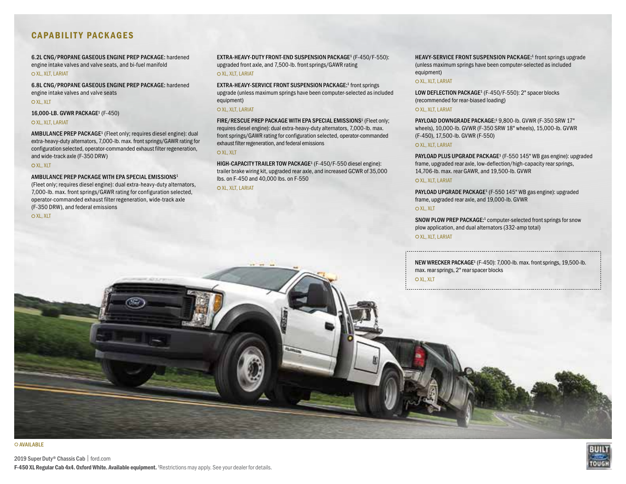#### CAPABILITY PACKAGES

6.2L CNG/PROPANE GASEOUS ENGINE PREP PACKAGE: hardened engine intake valves and valve seats, and bi-fuel manifold

#### O XL, XLT, LARIAT

6.8L CNG/PROPANE GASEOUS ENGINE PREP PACKAGE: hardened engine intake valves and valve seats

O XL, XLT

16,000-LB. GVWR PACKAGE1 (F-450)

#### O XL, XLT, LARIAT

AMBULANCE PREP PACKAGE<sup>1</sup> (Fleet only; requires diesel engine): dual extra-heavy-duty alternators, 7,000-lb. max. front springs/GAWR rating for configuration selected, operator-commanded exhaust filter regeneration, and wide-track axle (F-350 DRW)

#### OXL, XIT

#### AMBULANCE PREP PACKAGE WITH EPA SPECIAL EMISSIONS1

(Fleet only; requires diesel engine): dual extra-heavy-duty alternators, 7,000-lb. max. front springs/GAWR rating for configuration selected, operator-commanded exhaust filter regeneration, wide-track axle (F-350 DRW), and federal emissions

OXL, XLT

EXTRA-HEAVY-DUTY FRONT-END SUSPENSION PACKAGE<sup>1</sup> (F-450/F-550): upgraded front axle, and 7,500-lb. front springs/GAWR rating O XL, XLT, LARIAT

EXTRA-HEAVY-SERVICE FRONT SUSPENSION PACKAGE:<sup>1</sup> front springs upgrade (unless maximum springs have been computer-selected as included equipment)

#### O XL, XLT, LARIAT

FIRE/RESCUE PREP PACKAGE WITH EPA SPECIAL EMISSIONS<sup>1</sup> (Fleet only; requires diesel engine): dual extra-heavy-duty alternators, 7,000-lb. max. front springs/GAWR rating for configuration selected, operator-commanded exhaust filter regeneration, and federal emissions

#### O XL, XLT

HIGH-CAPACITY TRAILER TOW PACKAGE<sup>1</sup> (F-450/F-550 diesel engine): trailer brake wiring kit, upgraded rear axle, and increased GCWR of 35,000 lbs. on F-450 and 40,000 lbs. on F-550

#### OXL, XLT, LARIAT

HEAVY-SERVICE FRONT SUSPENSION PACKAGE:<sup>1</sup> front springs upgrade (unless maximum springs have been computer-selected as included equipment)

#### O XL, XLT, LARIAT

LOW DEFLECTION PACKAGE<sup>1</sup> (F-450/F-550): 2" spacer blocks (recommended for rear-biased loading)

#### O XL, XLT, LARIAT

PAYLOAD DOWNGRADE PACKAGE:<sup>1</sup> 9,800-lb. GVWR (F-350 SRW 17" wheels), 10,000-lb. GVWR (F-350 SRW 18" wheels), 15,000-lb. GVWR (F-450), 17,500-lb. GVWR (F-550)

#### O XL, XLT, LARIAT

PAYLOAD PLUS UPGRADE PACKAGE<sup>1</sup> (F-550 145" WB gas engine): upgraded frame, upgraded rear axle, low-deflection/high-capacity rear springs, 14,706-lb. max. rear GAWR, and 19,500-lb. GVWR

#### O XL, XLT, LARIAT

PAYLOAD UPGRADE PACKAGE<sup>1</sup> (F-550 145" WB gas engine): upgraded frame, upgraded rear axle, and 19,000-lb. GVWR

#### OXL, XLT

SNOW PLOW PREP PACKAGE:<sup>1</sup> computer-selected front springs for snow plow application, and dual alternators (332-amp total)

#### O XL, XLT, LARIAT

NEW WRECKER PACKAGE<sup>1</sup> (F-450): 7,000-lb. max. front springs, 19,500-lb. max. rear springs, 2" rear spacer blocks

O XL, XLT

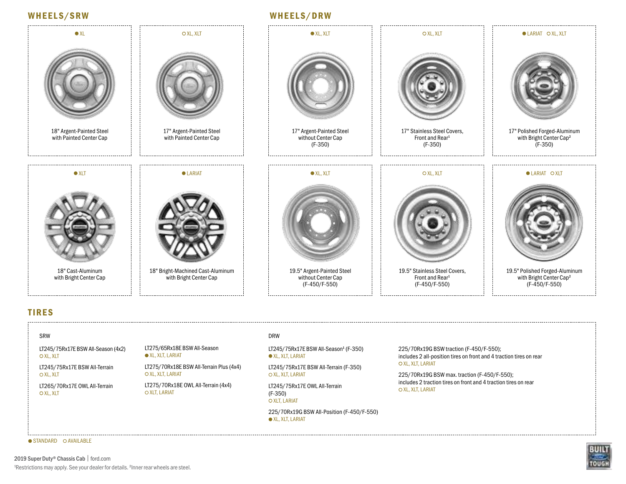### WHEELS/SRW WHEELS/DRW



#### TIRES

#### SRW

LT245/75Rx17E BSW All-Season (4x2) O XL, XLT

LT245/75Rx17E BSW All-Terrain O XL, XLT

LT265/70Rx17E OWL All-Terrain O XL, XLT

LT275/65Rx18E BSW All-Season  $\bullet$  XL, XLT, LARIAT

LT275/70Rx18E BSW All-Terrain Plus (4x4) O XL, XLT, LARIAT

LT275/70Rx18E OWL All-Terrain (4x4) **O XLT, LARIAT** 

#### DRW

LT245/75Rx17E BSW All-Season<sup>1</sup> (F-350)  $\bullet$  XL, XLT, LARIAT

LT245/75Rx17E BSW All-Terrain (F-350) O XL, XLT, LARIAT

LT245/75Rx17E OWL All-Terrain (F-350) O XLT, LARIAT

225/70Rx19G BSW All-Position (F-450/F-550)  $\bullet$  XL, XLT, LARIAT

225/70Rx19G BSW traction (F-450/F-550); includes 2 all-position tires on front and 4 traction tires on rear O XL, XLT, LARIAT

225/70Rx19G BSW max. traction (F-450/F-550); includes 2 traction tires on front and 4 traction tires on rear O XL, XLT, LARIAT



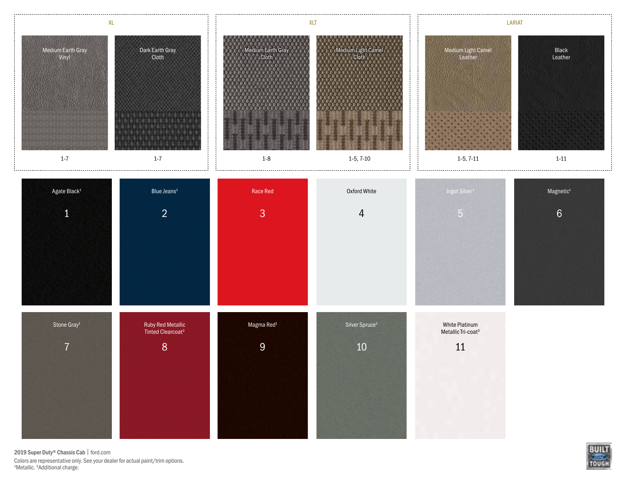

2019 Super Duty® Chassis Cab | ford.com Colors are representative only. See your dealer for actual paint/trim options. 1 Metallic. <sup>2</sup> Additional charge.

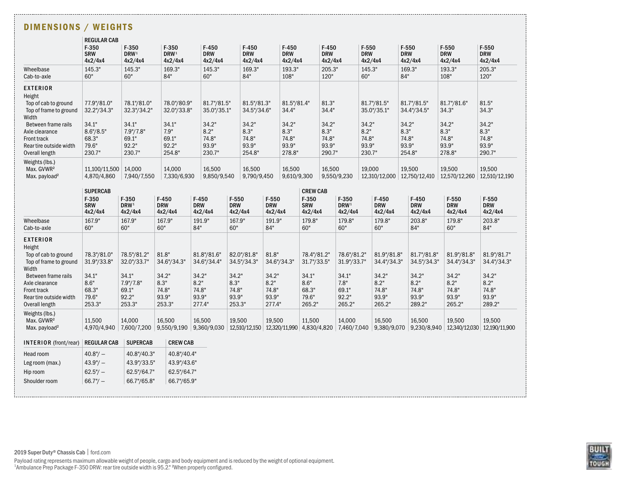| DIMENSIONS / WEIGHTS                                                                                                                                                                                                                  |                                                                                   |                                                                                        |                                                                             |                                                                                   |                                                                                   |                                                                             |                                                                                   |                                                             |                                                                                   |                                                                                   |                                 |                                                                                   |                                                                                   |                                                                                   |
|---------------------------------------------------------------------------------------------------------------------------------------------------------------------------------------------------------------------------------------|-----------------------------------------------------------------------------------|----------------------------------------------------------------------------------------|-----------------------------------------------------------------------------|-----------------------------------------------------------------------------------|-----------------------------------------------------------------------------------|-----------------------------------------------------------------------------|-----------------------------------------------------------------------------------|-------------------------------------------------------------|-----------------------------------------------------------------------------------|-----------------------------------------------------------------------------------|---------------------------------|-----------------------------------------------------------------------------------|-----------------------------------------------------------------------------------|-----------------------------------------------------------------------------------|
|                                                                                                                                                                                                                                       | <b>REGULAR CAB</b><br>$F-350$<br><b>SRW</b><br>4x2/4x4                            | $F-350$<br>DRW <sup>1</sup><br>4x2/4x4                                                 | F-350<br>DRW <sup>1</sup><br>4x2/4x4                                        | $F-450$<br><b>DRW</b><br>4x2/4x4                                                  | $F-450$<br><b>DRW</b><br>4x2/4x4                                                  | $F-450$<br><b>DRW</b><br>4x2/4x4                                            |                                                                                   | $F-450$<br><b>DRW</b><br>4x2/4x4                            |                                                                                   | F-550<br><b>DRW</b><br>4x2/4x4                                                    | <b>DRW</b>                      | $F-550$<br>4x2/4x4                                                                | $F-550$<br><b>DRW</b><br>4x2/4x4                                                  | $F-550$<br><b>DRW</b><br>4x2/4x4                                                  |
| Wheelbase<br>Cab-to-axle                                                                                                                                                                                                              | 145.3"<br>60"                                                                     | 145.3"<br>60"                                                                          | 169.3"<br>84"                                                               | 145.3"<br>60"                                                                     | 169.3"<br>84"                                                                     | 193.3"<br>108"                                                              |                                                                                   | 205.3"<br>120"                                              |                                                                                   | 145.3"<br>60"                                                                     | 84"                             | 169.3"                                                                            | 193.3"<br>108"                                                                    | 205.3"<br>120"                                                                    |
| <b>EXTERIOR</b><br>Height<br>Top of cab to ground<br>Top of frame to ground<br>Width<br>Between frame rails<br>Axle clearance<br>Front track<br>Rear tire outside width<br>Overall length                                             | 77.9"/81.0"<br>32.2"/34.3"<br>34.1"<br>8.6''/8.5''<br>68.3"<br>79.6"<br>230.7"    | 78.1"/81.0"<br>32.3"/34.2"<br>34.1"<br>7.9''/7.8''<br>69.1"<br>92.2"<br>230.7"         | 78.0"/80.9"<br>32.0"/33.8"<br>34.1"<br>7.9"<br>69.1"<br>92.2"<br>254.8"     | 81.7"/81.5"<br>35.0"/35.1"<br>34.2"<br>8.2"<br>74.8"<br>93.9"<br>230.7"           | 81.5"/81.3"<br>34.5"/34.6"<br>34.2"<br>8.3"<br>74.8"<br>93.9"<br>254.8"           | 34.4"<br>34.2"<br>8.3"<br>74.8"<br>93.9"<br>278.8"                          | 81.5"/81.4"                                                                       | 81.3"<br>34.4"<br>34.2"<br>8.3"<br>74.8"<br>93.9"<br>290.7" |                                                                                   | 81.7"/81.5"<br>35.0"/35.1"<br>34.2"<br>8.2"<br>74.8"<br>93.9"<br>230.7"           | 34.2"<br>8.3"<br>74.8"<br>93.9" | 81.7"/81.5"<br>34.4"/34.5"<br>254.8"                                              | 81.7"/81.6"<br>34.3"<br>34.2"<br>8.3"<br>74.8"<br>93.9"<br>278.8"                 | 81.5"<br>34.3"<br>34.2"<br>8.3"<br>74.8"<br>93.9"<br>290.7"                       |
| Weights (lbs.)<br>Max. GVWR <sup>2</sup><br>Max. payload <sup>2</sup>                                                                                                                                                                 | 11,100/11,500<br>4,870/4,860                                                      | 14,000<br>7,940/7,550                                                                  | 14,000<br>7,330/6,930                                                       | 16,500<br>9,850/9,540                                                             | 16,500<br>9,790/9,450                                                             | 16,500                                                                      | 9,610/9,300                                                                       | 16,500                                                      | 9,550/9,230                                                                       | 19,000<br>12,310/12,000 12,750/12,410                                             |                                 | 19,500                                                                            | 19,500<br>12,570/12,260                                                           | 19,500<br>12,510/12,190                                                           |
|                                                                                                                                                                                                                                       | <b>SUPERCAB</b><br>F-350<br><b>SRW</b><br>4x2/4x4                                 | $F-350$<br>DRW <sup>1</sup><br>4x2/4x4                                                 | $F-450$<br><b>DRW</b><br>4x2/4x4                                            | $F-450$<br><b>DRW</b><br>4x2/4x4                                                  | F-550<br><b>DRW</b><br>4x2/4x4                                                    | $F-550$<br><b>DRW</b><br>4x2/4x4                                            | <b>CREW CAB</b><br>$F-350$<br><b>SRW</b><br>4x2/4x4                               |                                                             | $F-350$<br>DRW <sup>1</sup><br>4x2/4x4                                            | $F-450$<br><b>DRW</b><br>4x2/4x4                                                  |                                 | $F-450$<br><b>DRW</b><br>4x2/4x4                                                  | F-550<br><b>DRW</b><br>4x2/4x4                                                    | $F-550$<br><b>DRW</b><br>4x2/4x4                                                  |
| Wheelbase<br>Cab-to-axle                                                                                                                                                                                                              | 167.9"<br>60"                                                                     | 167.9"<br>60"                                                                          | 167.9"<br>60"                                                               | 191.9"<br>84"                                                                     | 167.9"<br>60"                                                                     | 191.9"<br>84"                                                               | 179.8"<br>60"                                                                     |                                                             | 179.8"<br>60"                                                                     | 179.8"<br>60"                                                                     |                                 | 203.8"<br>84"                                                                     | 179.8"<br>60"                                                                     | 203.8"<br>84"                                                                     |
| <b>EXTERIOR</b><br>Height<br>Top of cab to ground<br>Top of frame to ground<br>Width<br>Between frame rails<br>Axle clearance<br>Front track<br>Rear tire outside width<br>Overall length<br>Weights (lbs.)<br>Max. GVWR <sup>2</sup> | 78.3"/81.0"<br>31.9"/33.8"<br>34.1"<br>8.6"<br>68.3"<br>79.6"<br>253.3"<br>11,500 | 78.5"/81.2"<br>32.0"/33.7"<br>34.1"<br>7.9"/7.8"<br>69.1"<br>92.2"<br>253.3"<br>14.000 | 81.8"<br>34.6"/34.3"<br>34.2"<br>8.3"<br>74.8"<br>93.9"<br>253.3"<br>16,500 | 81.8"/81.6"<br>34.6"/34.4"<br>34.2"<br>8.2"<br>74.8"<br>93.9"<br>277.4"<br>16,500 | 82.0"/81.8"<br>34.5"/34.3"<br>34.2"<br>8.3"<br>74.8"<br>93.9"<br>253.3"<br>19,500 | 81.8"<br>34.6"/34.3"<br>34.2"<br>8.2"<br>74.8"<br>93.9"<br>277.4"<br>19,500 | 78.4"/81.2"<br>31.7"/33.5"<br>34.1"<br>8.6"<br>68.3"<br>79.6"<br>265.2"<br>11,500 |                                                             | 78.6"/81.2"<br>31.9"/33.7"<br>34.1"<br>7.8"<br>69.1"<br>92.2"<br>265.2"<br>14,000 | 81.9"/81.8"<br>34.4"/34.3"<br>34.2"<br>8.2"<br>74.8"<br>93.9"<br>265.2"<br>16,500 |                                 | 81.7"/81.8"<br>34.5"/34.3"<br>34.2"<br>8.2"<br>74.8"<br>93.9"<br>289.2"<br>16,500 | 81.9"/81.8"<br>34.4"/34.3"<br>34.2"<br>8.2"<br>74.8"<br>93.9"<br>265.2"<br>19,500 | 81.9"/81.7"<br>34.4"/34.3"<br>34.2"<br>8.2"<br>74.8"<br>93.9"<br>289.2"<br>19,500 |
| Max. payload <sup>2</sup>                                                                                                                                                                                                             | 4,970/4,940                                                                       |                                                                                        | 7,600/7,200   9,550/9,190   9,360/9,030                                     |                                                                                   | 12,510/12,150   12,320/11,990   4,830/4,820                                       |                                                                             |                                                                                   |                                                             | 7,460/7,040                                                                       | 9,380/9,070                                                                       |                                 |                                                                                   | $9,230/8,940$   12,340/12,030   12,190/11,900                                     |                                                                                   |
| INTERIOR (front/rear)<br>Head room<br>Leg room (max.)<br>Hip room<br>Shoulder room                                                                                                                                                    | <b>REGULAR CAB</b><br>$40.8''/ -$<br>$43.9''/ -$<br>$62.5''/ -$<br>$66.7''/ -$    | <b>SUPERCAB</b><br>40.8"/40.3"<br>43.9"/33.5"<br>62.5"/64.7"<br>66.7"/65.8"            | <b>CREW CAB</b><br>40.8"/40.4"<br>43.9"/43.6"<br>62.5"/64.7"<br>66.7"/65.9" |                                                                                   |                                                                                   |                                                                             |                                                                                   |                                                             |                                                                                   |                                                                                   |                                 |                                                                                   |                                                                                   |                                                                                   |

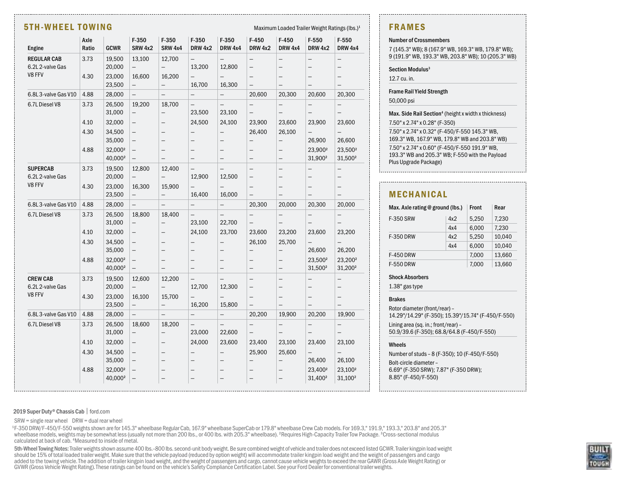#### 5TH-WHEEL TOWING Maximum Loaded Trailer Weight Ratings (lbs.)<sup>1</sup>

| Maximum Loaded Trailer Weight Ratings (lbs. |  |  |  |  |  |  |
|---------------------------------------------|--|--|--|--|--|--|
|---------------------------------------------|--|--|--|--|--|--|

| Engine                              | Axle<br>Ratio | GCWR                                       | $F-350$<br><b>SRW 4x2</b>                     | $F-350$<br><b>SRW 4x4</b>                     | $F-350$<br>DRW 4x2                 | $F-350$<br>DRW 4x4                 | $F-450$<br><b>DRW 4x2</b>                            | $F-450$<br>DRW 4x4                            | $F-550$<br><b>DRW 4x2</b>                            | F-550<br><b>DRW 4x4</b>                              |
|-------------------------------------|---------------|--------------------------------------------|-----------------------------------------------|-----------------------------------------------|------------------------------------|------------------------------------|------------------------------------------------------|-----------------------------------------------|------------------------------------------------------|------------------------------------------------------|
|                                     |               |                                            |                                               |                                               |                                    |                                    |                                                      |                                               |                                                      |                                                      |
| REGULAR CAB<br>6.2L 2-valve Gas     | 3.73          | 19,500<br>20,000                           | 13,100<br>$\overline{\phantom{0}}$            | 12,700<br>$\qquad \qquad -$                   | $\qquad \qquad -$<br>13,200        | $\qquad \qquad -$<br>12,800        | $\qquad \qquad -$<br>—                               | —<br>-                                        | —<br>-                                               | $\overline{\phantom{0}}$<br>—                        |
| V8 FFV                              | 4.30          | 23,000                                     | 16,600                                        | 16,200                                        | —                                  |                                    | —                                                    | —                                             | —                                                    | —                                                    |
|                                     |               | 23,500                                     | $\overline{\phantom{0}}$                      | $\qquad \qquad -$                             | 16,700                             | 16,300                             | $\qquad \qquad -$                                    | $\qquad \qquad -$                             | —                                                    | $\qquad \qquad -$                                    |
| 6.8L 3-valve Gas V10                | 4.88          | 28,000                                     | $\qquad \qquad -$                             | $\qquad \qquad -$                             | $\qquad \qquad -$                  | $\overline{\phantom{0}}$           | 20,600                                               | 20,300                                        | 20,600                                               | 20,300                                               |
| 6.7L Diesel V8                      | 3.73          | 26,500<br>31,000                           | 19,200<br>$\qquad \qquad -$                   | 18,700<br>$\qquad \qquad -$                   | 23,500                             | 23,100                             | $\qquad \qquad -$                                    | $\qquad \qquad -$                             | $\overline{\phantom{0}}$                             | $\overline{\phantom{0}}$<br>$\overline{\phantom{0}}$ |
|                                     | 4.10          | 32,000                                     | $\qquad \qquad -$                             | $\qquad \qquad -$                             | 24,500                             | 24,100                             | 23,900                                               | 23,600                                        | 23,900                                               | 23,600                                               |
|                                     | 4.30          | 34,500<br>35,000                           | $\overline{\phantom{0}}$<br>-                 |                                               | —<br>—                             | $\overline{\phantom{0}}$<br>—      | 26,400<br>—                                          | 26,100<br>$\overline{\phantom{0}}$            | $\overline{\phantom{0}}$<br>26,900                   | $\overline{\phantom{0}}$<br>26,600                   |
|                                     | 4.88          | 32,000 <sup>2</sup><br>40,000 <sup>2</sup> | -<br>$\qquad \qquad -$                        | $\qquad \qquad -$                             | —                                  | -                                  | —<br>$\qquad \qquad -$                               | —<br>$\qquad \qquad -$                        | 23,900 <sup>2</sup><br>31,900 <sup>2</sup>           | 23,500 <sup>2</sup><br>31,500 <sup>2</sup>           |
| <b>SUPERCAB</b><br>6.2L 2-valve Gas | 3.73          | 19,500<br>20,000                           | 12,800<br>$\qquad \qquad -$                   | 12,400<br>$\qquad \qquad -$                   | 12,900                             | 12,500                             | $\overline{\phantom{0}}$<br>$\overline{\phantom{0}}$ | -                                             | —                                                    | $\overline{\phantom{0}}$<br>—                        |
| V8 FFV                              | 4.30          | 23,000<br>23,500                           | 16,300<br>$\overline{\phantom{0}}$            | 15,900<br>$\overline{\phantom{0}}$            | —<br>16,400                        | $\overline{\phantom{0}}$<br>16,000 | $\overline{\phantom{0}}$<br>$\qquad \qquad -$        | —                                             | —<br>$\overline{\phantom{0}}$                        | —<br>$\qquad \qquad -$                               |
| 6.8L3-valve Gas V10                 | 4.88          | 28,000                                     | $\overline{\phantom{0}}$                      | $\equiv$                                      | $\overline{\phantom{0}}$           | $\overline{\phantom{0}}$           | 20,300                                               | 20,000                                        | 20,300                                               | 20,000                                               |
| 6.7L Diesel V8                      | 3.73          | 26,500<br>31,000                           | 18,800<br>$\overline{\phantom{0}}$            | 18,400<br>$\qquad \qquad -$                   | $\overline{\phantom{0}}$<br>23,100 | $\overline{\phantom{0}}$<br>22,700 | $\qquad \qquad -$                                    | $\qquad \qquad -$<br>$\overline{\phantom{0}}$ | $\overline{\phantom{0}}$<br>$\overline{\phantom{0}}$ | $\qquad \qquad -$<br>$\overline{\phantom{0}}$        |
|                                     | 4.10          | 32,000                                     | $\qquad \qquad -$                             | $\qquad \qquad -$                             | 24,100                             | 23,700                             | 23,600                                               | 23,200                                        | 23,600                                               | 23,200                                               |
|                                     | 4.30          | 34,500<br>35,000                           | $\overline{\phantom{0}}$<br>$\qquad \qquad -$ | $\qquad \qquad -$                             | —<br>—                             | $\overline{\phantom{0}}$<br>—      | 26,100<br>$\overline{\phantom{0}}$                   | 25,700<br>$\overline{\phantom{0}}$            | $\overline{\phantom{0}}$<br>26,600                   | $\overline{\phantom{0}}$<br>26,200                   |
|                                     | 4.88          | 32.000 <sup>2</sup><br>40,000 <sup>2</sup> | $\overline{\phantom{0}}$<br>$\qquad \qquad -$ | $\qquad \qquad -$<br>$\overline{\phantom{0}}$ | -<br>$\overline{\phantom{0}}$      | —<br>$\overline{\phantom{0}}$      | $\qquad \qquad -$<br>$\qquad \qquad -$               | -<br>$\qquad \qquad -$                        | 23,500 <sup>2</sup><br>31,500 <sup>2</sup>           | 23,200 <sup>2</sup><br>31,200 <sup>2</sup>           |
| <b>CREW CAB</b><br>6.2L 2-valve Gas | 3.73          | 19,500<br>20,000                           | 12,600<br>$\overline{\phantom{0}}$            | 12,200<br>$\equiv$                            | $\overline{\phantom{0}}$<br>12,700 | $\overline{\phantom{0}}$<br>12,300 | $\overline{\phantom{0}}$                             | $\overline{\phantom{0}}$                      |                                                      | $\overline{\phantom{0}}$<br>—                        |
| V8 FFV                              | 4.30          | 23,000<br>23,500                           | 16,100<br>$\qquad \qquad -$                   | 15,700<br>$\qquad \qquad -$                   | 16,200                             | $\overline{\phantom{0}}$<br>15,800 | $\qquad \qquad -$                                    | $\qquad \qquad -$                             | $\overline{\phantom{0}}$                             | $\qquad \qquad -$                                    |
| 6.8L3-valve Gas V10                 | 4.88          | 28,000                                     | $\overline{\phantom{0}}$                      | $\qquad \qquad -$                             | $\qquad \qquad -$                  | $\qquad \qquad -$                  | 20,200                                               | 19,900                                        | 20,200                                               | 19,900                                               |
| 6.7L Diesel V8                      | 3.73          | 26,500<br>31,000                           | 18,600<br>$\qquad \qquad -$                   | 18,200<br>$\qquad \qquad -$                   | $\overline{\phantom{0}}$<br>23,000 | $\overline{\phantom{0}}$<br>22,600 | $\qquad \qquad -$<br>$\qquad \qquad -$               | $\qquad \qquad -$<br>—                        | $\overline{\phantom{0}}$<br>-                        | $\qquad \qquad -$<br>$\qquad \qquad -$               |
|                                     | 4.10          | 32,000                                     | $\qquad \qquad -$                             | $\qquad \qquad -$                             | 24,000                             | 23,600                             | 23,400                                               | 23,100                                        | 23,400                                               | 23,100                                               |
|                                     | 4.30          | 34,500<br>35,000                           | $\overline{\phantom{0}}$                      | $\qquad \qquad -$                             | —                                  | $\overline{\phantom{0}}$           | 25,900                                               | 25,600<br>—                                   | $\overline{\phantom{0}}$<br>26,400                   | $\overline{\phantom{0}}$<br>26,100                   |
|                                     | 4.88          | 32,000 <sup>2</sup><br>40,000 <sup>2</sup> |                                               |                                               |                                    |                                    |                                                      |                                               | 23,400 <sup>2</sup><br>31,400 <sup>2</sup>           | 23,100 <sup>2</sup><br>31,100 <sup>2</sup>           |

#### FRAMES

#### Number of Crossmembers

7 (145.3" WB); 8 (167.9" WB, 169.3" WB, 179.8" WB); 9 (191.9" WB, 193.3" WB, 203.8" WB); 10 (205.3" WB)

#### Section Modulus<sup>3</sup>

12.7 cu. in.

#### Frame Rail Yield Strength

50,000 psi

Max. Side Rail Section<sup>4</sup> (height x width x thickness)

7.50" x 2.74" x 0.28" (F-350)

7.50" x 2.74" x 0.32" (F-450/F-550 145.3" WB, 169.3" WB, 167.9" WB, 179.8" WB and 203.8" WB) 7.50" x 2.74" x 0.60" (F-450/F-550 191.9" WB, 193.3" WB and 205.3" WB; F-550 with the Payload Plus Upgrade Package)

#### MECHANICAL

|                  | Max. Axle rating @ ground (lbs.) |       |        |  |  |  |
|------------------|----------------------------------|-------|--------|--|--|--|
| <b>F-350 SRW</b> | 5.250<br>4x2                     |       | 7,230  |  |  |  |
|                  | 4x4                              | 6,000 | 7,230  |  |  |  |
| <b>F-350 DRW</b> | 4x2                              | 5,250 | 10,040 |  |  |  |
|                  | 4x4                              | 6,000 | 10,040 |  |  |  |
| <b>F-450 DRW</b> |                                  | 7,000 | 13,660 |  |  |  |
| <b>F-550 DRW</b> |                                  | 7.000 | 13,660 |  |  |  |

#### Shock Absorbers

1.38" gas type

Brakes

Rotor diameter (front/rear) – 14.29"/14.29" (F-350); 15.39"/15.74" (F-450/F-550) Lining area (sq. in.; front/rear) –

50.9/39.6 (F-350); 68.8/64.8 (F-450/F-550)

#### Wheels

Number of studs – 8 (F-350); 10 (F-450/F-550) Bolt-circle diameter –

6.69" (F-350 SRW); 7.87" (F-350 DRW); 8.85" (F-450/F-550)

#### 2019 Super Duty® Chassis Cab | ford.com

 $SRW = single$  rear wheel  $DRW = dual$  rear wheel

<sup>1</sup>F-350 DRW/F-450/F-550 weights shown are for 145.3" wheelbase Regular Cab, 167.9" wheelbase SuperCab or 179.8" wheelbase Crew Cab models. For 169.3," 191.9," 193.3," 203.8" and 205.3" wheelbase models, weights may be somewhat less (usually not more than 200 lbs., or 400 lbs. with 205.3" wheelbase). <sup>2</sup>Requires High-Capacity Trailer Tow Package. <sup>3</sup>Cross-sectional modulus calculated at back of cab. 4Measured to inside of metal.

5th-Wheel Towing Notes: Trailer weights shown assume 400 lbs.–800 lbs. second-unit body weight. Be sure combined weight of vehicle and trailer does not exceed listed GCWR. Trailer kingpin load weight should be 15% of total loaded trailer weight. Make sure that the vehicle payload (reduced by option weight) will accommodate trailer kingpin load weight and the weight of passengers and cargo added to the towing vehicle. The addition of trailer kingpin load weight, and the weight of passengers and cargo, cannot cause vehicle weights to exceed the rear GAWR (Gross Axle Weight Rating) or GVWR (Gross Vehicle Weight Rating). These ratings can be found on the vehicle's Safety Compliance Certification Label. See your Ford Dealer for conventional trailer weights.